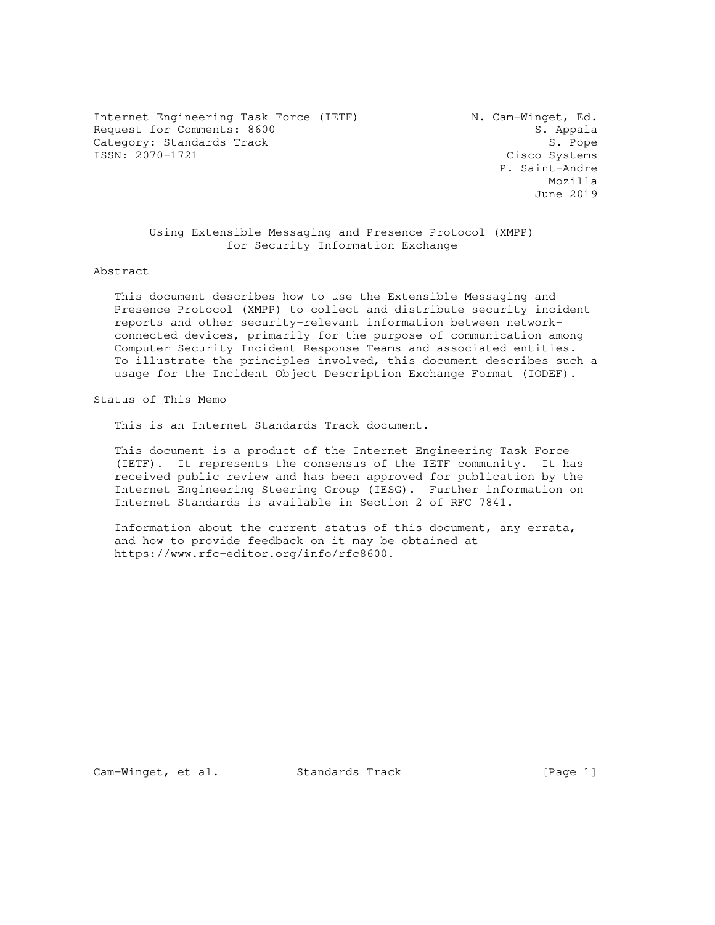Internet Engineering Task Force (IETF) M. Cam-Winget, Ed. Request for Comments: 8600 S. Appala Category: Standards Track 5. Pope 3. Pope 3. Pope 3. Pope 3. Pope 3. Pope 3. Pope 3. Pope 3. Pope 3. Pope 3. Pope 3. Pope 3. Pope 3. Systems 3. Pope 3. Systems 3. Pope 3. Pope 3. Pope 3. Pope 3. Pope 3. Pope 3. Systems 3.

Cisco Systems P. Saint-Andre Mozilla June 2019

> Using Extensible Messaging and Presence Protocol (XMPP) for Security Information Exchange

Abstract

 This document describes how to use the Extensible Messaging and Presence Protocol (XMPP) to collect and distribute security incident reports and other security-relevant information between network connected devices, primarily for the purpose of communication among Computer Security Incident Response Teams and associated entities. To illustrate the principles involved, this document describes such a usage for the Incident Object Description Exchange Format (IODEF).

Status of This Memo

This is an Internet Standards Track document.

 This document is a product of the Internet Engineering Task Force (IETF). It represents the consensus of the IETF community. It has received public review and has been approved for publication by the Internet Engineering Steering Group (IESG). Further information on Internet Standards is available in Section 2 of RFC 7841.

 Information about the current status of this document, any errata, and how to provide feedback on it may be obtained at https://www.rfc-editor.org/info/rfc8600.

Cam-Winget, et al. Standards Track [Page 1]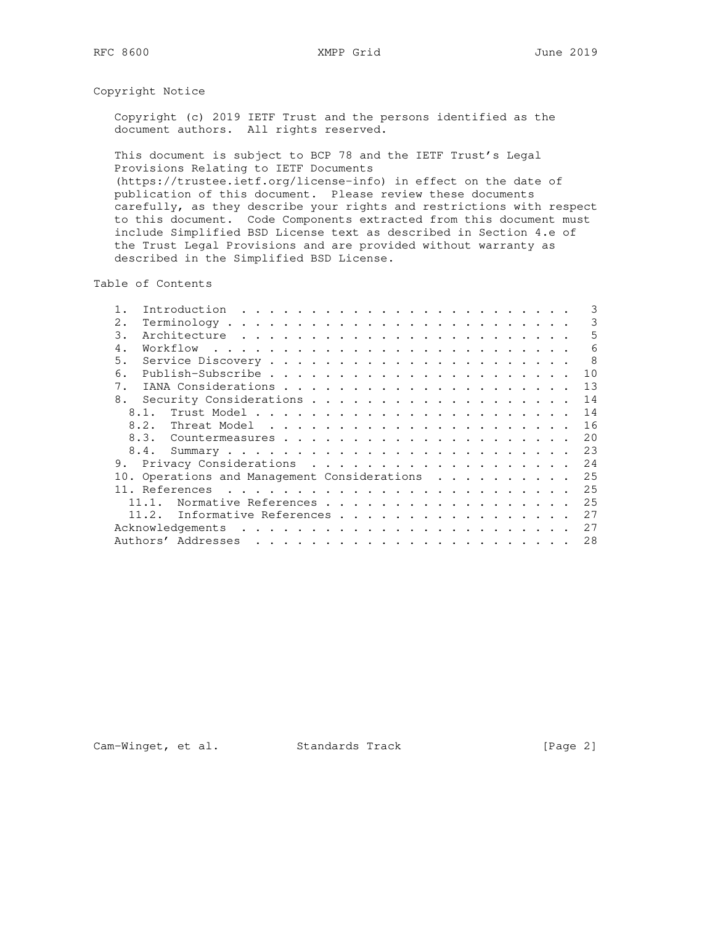Copyright Notice

 Copyright (c) 2019 IETF Trust and the persons identified as the document authors. All rights reserved.

 This document is subject to BCP 78 and the IETF Trust's Legal Provisions Relating to IETF Documents (https://trustee.ietf.org/license-info) in effect on the date of publication of this document. Please review these documents carefully, as they describe your rights and restrictions with respect to this document. Code Components extracted from this document must include Simplified BSD License text as described in Section 4.e of the Trust Legal Provisions and are provided without warranty as described in the Simplified BSD License.

Table of Contents

|       |                                       |                |              |  |  |  |  |  |  |  |  |  |  |  | 3                                                                                                                                                                                                                                                                                                                                |
|-------|---------------------------------------|----------------|--------------|--|--|--|--|--|--|--|--|--|--|--|----------------------------------------------------------------------------------------------------------------------------------------------------------------------------------------------------------------------------------------------------------------------------------------------------------------------------------|
| $2$ . |                                       |                |              |  |  |  |  |  |  |  |  |  |  |  | 3                                                                                                                                                                                                                                                                                                                                |
| 3.    |                                       |                |              |  |  |  |  |  |  |  |  |  |  |  | 5                                                                                                                                                                                                                                                                                                                                |
| 4.    |                                       |                |              |  |  |  |  |  |  |  |  |  |  |  | 6                                                                                                                                                                                                                                                                                                                                |
| 5.    |                                       |                |              |  |  |  |  |  |  |  |  |  |  |  | $\overline{8}$                                                                                                                                                                                                                                                                                                                   |
| 6.    |                                       |                |              |  |  |  |  |  |  |  |  |  |  |  | 10                                                                                                                                                                                                                                                                                                                               |
| 7.    |                                       |                |              |  |  |  |  |  |  |  |  |  |  |  | 13                                                                                                                                                                                                                                                                                                                               |
| 8.    |                                       |                |              |  |  |  |  |  |  |  |  |  |  |  | 14                                                                                                                                                                                                                                                                                                                               |
|       |                                       |                |              |  |  |  |  |  |  |  |  |  |  |  | 14                                                                                                                                                                                                                                                                                                                               |
|       |                                       |                |              |  |  |  |  |  |  |  |  |  |  |  | 16                                                                                                                                                                                                                                                                                                                               |
|       |                                       |                |              |  |  |  |  |  |  |  |  |  |  |  | 20                                                                                                                                                                                                                                                                                                                               |
|       |                                       |                |              |  |  |  |  |  |  |  |  |  |  |  | 23                                                                                                                                                                                                                                                                                                                               |
| 9.    |                                       |                |              |  |  |  |  |  |  |  |  |  |  |  | 2.4                                                                                                                                                                                                                                                                                                                              |
|       |                                       |                |              |  |  |  |  |  |  |  |  |  |  |  | 25                                                                                                                                                                                                                                                                                                                               |
|       |                                       |                |              |  |  |  |  |  |  |  |  |  |  |  | 25                                                                                                                                                                                                                                                                                                                               |
|       |                                       |                |              |  |  |  |  |  |  |  |  |  |  |  | 25                                                                                                                                                                                                                                                                                                                               |
|       |                                       |                |              |  |  |  |  |  |  |  |  |  |  |  | 27                                                                                                                                                                                                                                                                                                                               |
|       |                                       |                |              |  |  |  |  |  |  |  |  |  |  |  | 27                                                                                                                                                                                                                                                                                                                               |
|       |                                       |                |              |  |  |  |  |  |  |  |  |  |  |  | 28                                                                                                                                                                                                                                                                                                                               |
|       | 8.1.<br>8.2.<br>8.3.<br>8.4.<br>11.2. | 11. References | Introduction |  |  |  |  |  |  |  |  |  |  |  | 10. Operations and Management Considerations<br>the contract of the contract of the contract of the contract of the contract of the contract of the contract of the contract of the contract of the contract of the contract of the contract of the contract of the contract o<br>Normative References<br>Informative References |

Cam-Winget, et al. Standards Track [Page 2]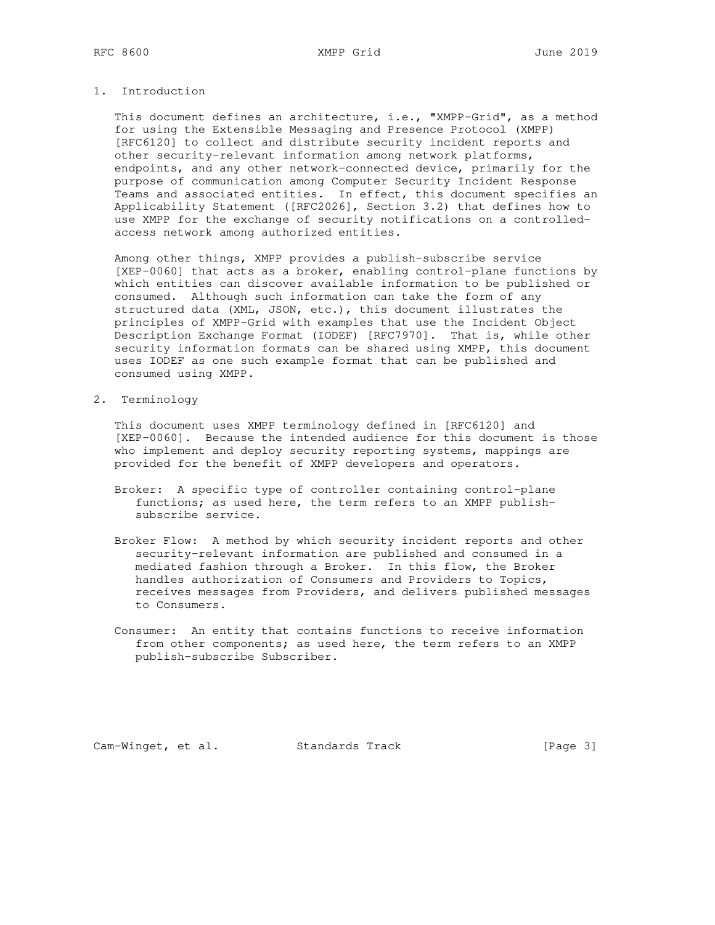# 1. Introduction

 This document defines an architecture, i.e., "XMPP-Grid", as a method for using the Extensible Messaging and Presence Protocol (XMPP) [RFC6120] to collect and distribute security incident reports and other security-relevant information among network platforms, endpoints, and any other network-connected device, primarily for the purpose of communication among Computer Security Incident Response Teams and associated entities. In effect, this document specifies an Applicability Statement ([RFC2026], Section 3.2) that defines how to use XMPP for the exchange of security notifications on a controlled access network among authorized entities.

 Among other things, XMPP provides a publish-subscribe service [XEP-0060] that acts as a broker, enabling control-plane functions by which entities can discover available information to be published or consumed. Although such information can take the form of any structured data (XML, JSON, etc.), this document illustrates the principles of XMPP-Grid with examples that use the Incident Object Description Exchange Format (IODEF) [RFC7970]. That is, while other security information formats can be shared using XMPP, this document uses IODEF as one such example format that can be published and consumed using XMPP.

2. Terminology

 This document uses XMPP terminology defined in [RFC6120] and [XEP-0060]. Because the intended audience for this document is those who implement and deploy security reporting systems, mappings are provided for the benefit of XMPP developers and operators.

- Broker: A specific type of controller containing control-plane functions; as used here, the term refers to an XMPP publish subscribe service.
- Broker Flow: A method by which security incident reports and other security-relevant information are published and consumed in a mediated fashion through a Broker. In this flow, the Broker handles authorization of Consumers and Providers to Topics, receives messages from Providers, and delivers published messages to Consumers.
- Consumer: An entity that contains functions to receive information from other components; as used here, the term refers to an XMPP publish-subscribe Subscriber.

Cam-Winget, et al. Standards Track [Page 3]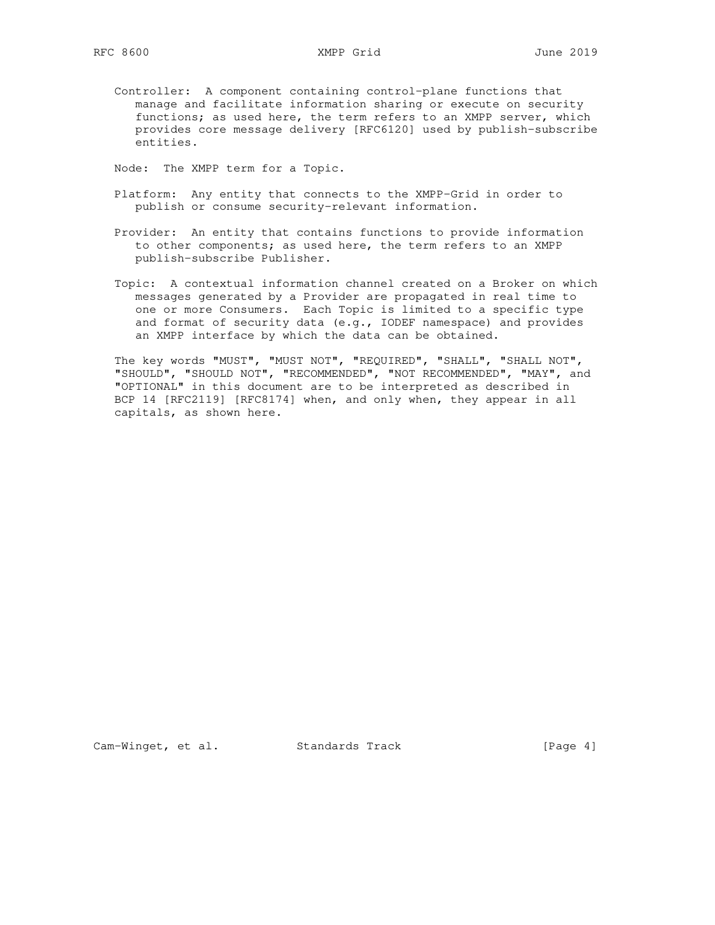Controller: A component containing control-plane functions that manage and facilitate information sharing or execute on security functions; as used here, the term refers to an XMPP server, which provides core message delivery [RFC6120] used by publish-subscribe entities.

Node: The XMPP term for a Topic.

- Platform: Any entity that connects to the XMPP-Grid in order to publish or consume security-relevant information.
- Provider: An entity that contains functions to provide information to other components; as used here, the term refers to an XMPP publish-subscribe Publisher.
- Topic: A contextual information channel created on a Broker on which messages generated by a Provider are propagated in real time to one or more Consumers. Each Topic is limited to a specific type and format of security data (e.g., IODEF namespace) and provides an XMPP interface by which the data can be obtained.

 The key words "MUST", "MUST NOT", "REQUIRED", "SHALL", "SHALL NOT", "SHOULD", "SHOULD NOT", "RECOMMENDED", "NOT RECOMMENDED", "MAY", and "OPTIONAL" in this document are to be interpreted as described in BCP 14 [RFC2119] [RFC8174] when, and only when, they appear in all capitals, as shown here.

Cam-Winget, et al. Standards Track [Page 4]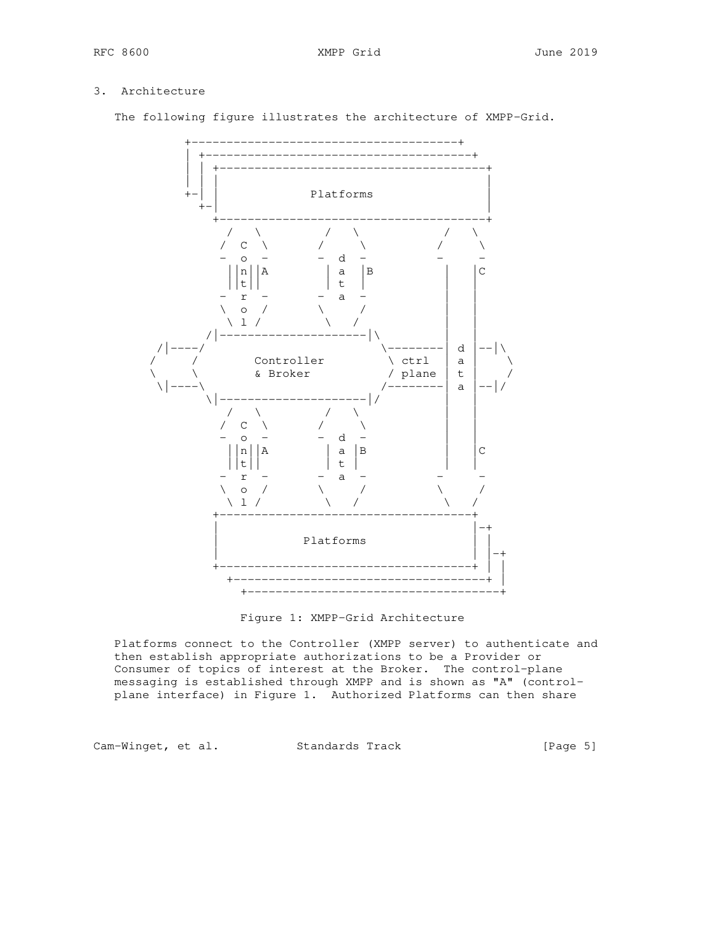# 3. Architecture

The following figure illustrates the architecture of XMPP-Grid.



Figure 1: XMPP-Grid Architecture

 Platforms connect to the Controller (XMPP server) to authenticate and then establish appropriate authorizations to be a Provider or Consumer of topics of interest at the Broker. The control-plane messaging is established through XMPP and is shown as "A" (control plane interface) in Figure 1. Authorized Platforms can then share

Cam-Winget, et al. Standards Track [Page 5]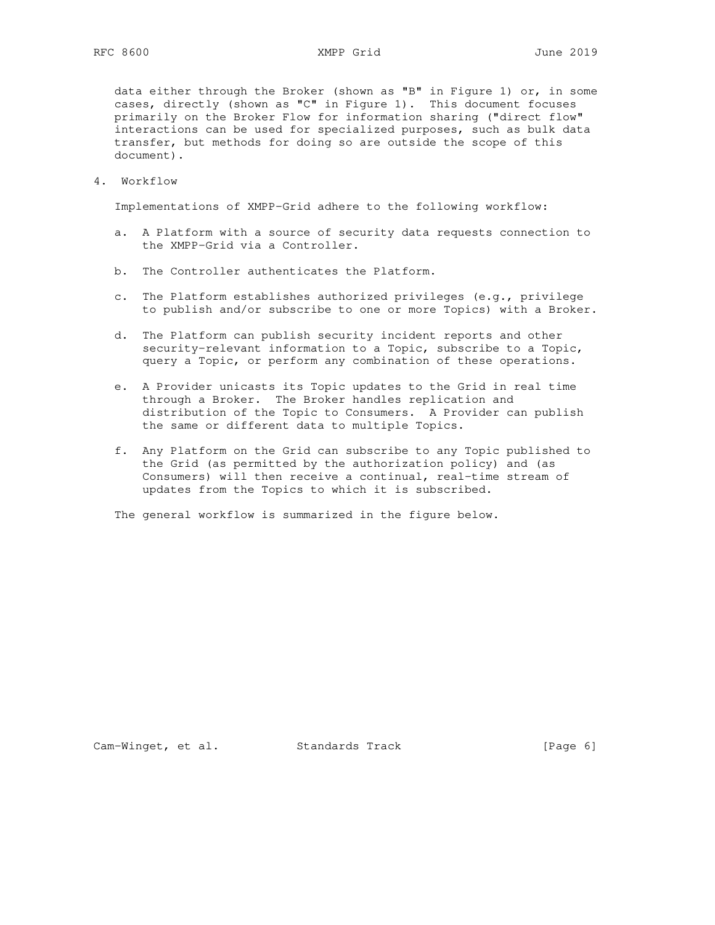data either through the Broker (shown as "B" in Figure 1) or, in some cases, directly (shown as "C" in Figure 1). This document focuses primarily on the Broker Flow for information sharing ("direct flow" interactions can be used for specialized purposes, such as bulk data transfer, but methods for doing so are outside the scope of this document).

4. Workflow

Implementations of XMPP-Grid adhere to the following workflow:

- a. A Platform with a source of security data requests connection to the XMPP-Grid via a Controller.
- b. The Controller authenticates the Platform.
- c. The Platform establishes authorized privileges (e.g., privilege to publish and/or subscribe to one or more Topics) with a Broker.
- d. The Platform can publish security incident reports and other security-relevant information to a Topic, subscribe to a Topic, query a Topic, or perform any combination of these operations.
- e. A Provider unicasts its Topic updates to the Grid in real time through a Broker. The Broker handles replication and distribution of the Topic to Consumers. A Provider can publish the same or different data to multiple Topics.
- f. Any Platform on the Grid can subscribe to any Topic published to the Grid (as permitted by the authorization policy) and (as Consumers) will then receive a continual, real-time stream of updates from the Topics to which it is subscribed.

The general workflow is summarized in the figure below.

Cam-Winget, et al. Standards Track [Page 6]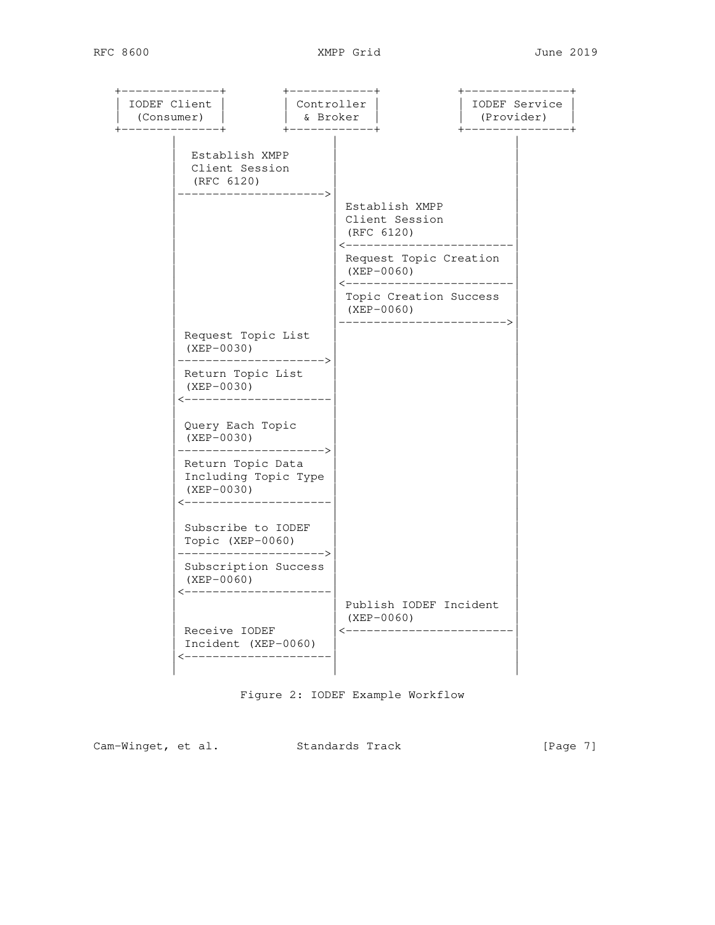| IODEF Client<br>(Consumer)<br>-------------+ |                                                                             | Controller<br>& Broker<br>$+$ - - - - - - - - - - - - + |                            |                                                                        | IODEF Service<br>(Provider) | ------------ |
|----------------------------------------------|-----------------------------------------------------------------------------|---------------------------------------------------------|----------------------------|------------------------------------------------------------------------|-----------------------------|--------------|
|                                              | Establish XMPP<br>Client Session<br>(RFC 6120)<br>----------                |                                                         |                            |                                                                        |                             |              |
|                                              |                                                                             |                                                         |                            | Establish XMPP<br>Client Session<br>(RFC 6120)<br>-------------------- |                             |              |
|                                              |                                                                             |                                                         | $\leftarrow$ - - - - - - - | Request Topic Creation<br>$(XEP-0060)$                                 |                             |              |
|                                              |                                                                             |                                                         |                            | Topic Creation Success<br>$(XEP-0060)$                                 |                             |              |
|                                              | Request Topic List<br>(XEP-0030)<br>---------------------->                 |                                                         |                            |                                                                        |                             |              |
|                                              | Return Topic List<br>(XEP-0030)<br><--------------------                    |                                                         |                            |                                                                        |                             |              |
|                                              | Query Each Topic<br>$(XEP-0030)$<br>(XEP-0030)<br>---------------------->   |                                                         |                            |                                                                        |                             |              |
|                                              | Return Topic Data<br>Including Topic Type<br>(XEP-0030)<br><--------------- |                                                         |                            |                                                                        |                             |              |
|                                              | Subscribe to IODEF<br>Topic (XEP-0060)<br>--------------------->            |                                                         |                            |                                                                        |                             |              |
|                                              | Subscription Success<br>$(XEP-0060)$                                        |                                                         |                            |                                                                        |                             |              |
|                                              | Receive IODEF<br>Incident (XEP-0060)<br>_____________                       |                                                         |                            | Publish IODEF Incident<br>$(XEP-0060)$<br><-----------------------     |                             |              |

Figure 2: IODEF Example Workflow

Cam-Winget, et al. Standards Track [Page 7]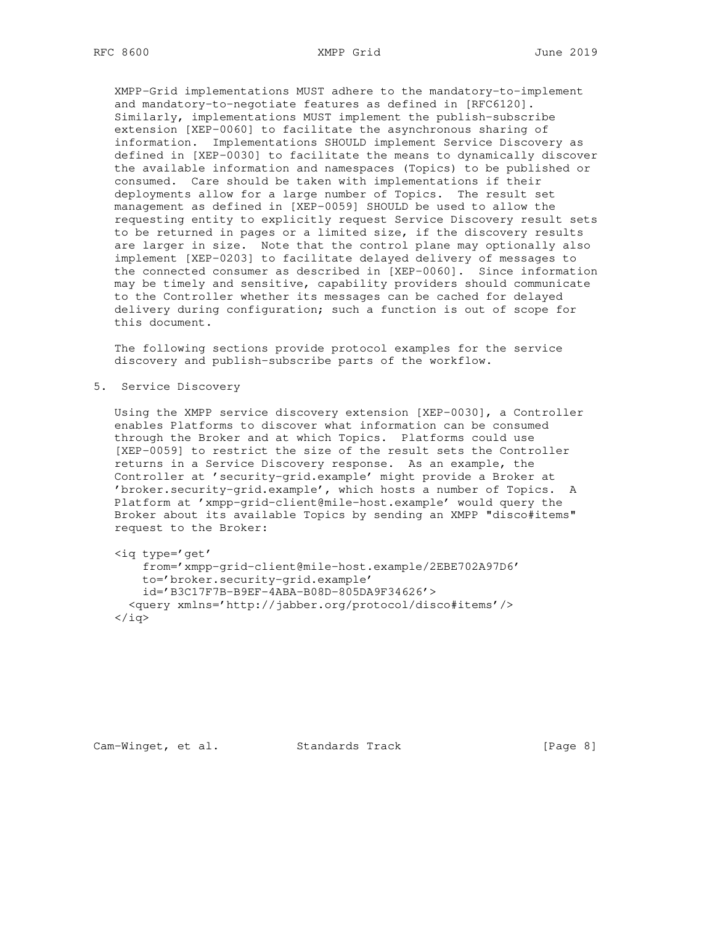XMPP-Grid implementations MUST adhere to the mandatory-to-implement and mandatory-to-negotiate features as defined in [RFC6120]. Similarly, implementations MUST implement the publish-subscribe extension [XEP-0060] to facilitate the asynchronous sharing of information. Implementations SHOULD implement Service Discovery as defined in [XEP-0030] to facilitate the means to dynamically discover the available information and namespaces (Topics) to be published or consumed. Care should be taken with implementations if their deployments allow for a large number of Topics. The result set management as defined in [XEP-0059] SHOULD be used to allow the requesting entity to explicitly request Service Discovery result sets to be returned in pages or a limited size, if the discovery results are larger in size. Note that the control plane may optionally also implement [XEP-0203] to facilitate delayed delivery of messages to the connected consumer as described in [XEP-0060]. Since information may be timely and sensitive, capability providers should communicate to the Controller whether its messages can be cached for delayed delivery during configuration; such a function is out of scope for this document.

 The following sections provide protocol examples for the service discovery and publish-subscribe parts of the workflow.

5. Service Discovery

 Using the XMPP service discovery extension [XEP-0030], a Controller enables Platforms to discover what information can be consumed through the Broker and at which Topics. Platforms could use [XEP-0059] to restrict the size of the result sets the Controller returns in a Service Discovery response. As an example, the Controller at 'security-grid.example' might provide a Broker at 'broker.security-grid.example', which hosts a number of Topics. A Platform at 'xmpp-grid-client@mile-host.example' would query the Broker about its available Topics by sending an XMPP "disco#items" request to the Broker:

<iq type='get'

 from='xmpp-grid-client@mile-host.example/2EBE702A97D6' to='broker.security-grid.example' id='B3C17F7B-B9EF-4ABA-B08D-805DA9F34626'> <query xmlns='http://jabber.org/protocol/disco#items'/>  $\langle$ iq>

Cam-Winget, et al. Standards Track [Page 8]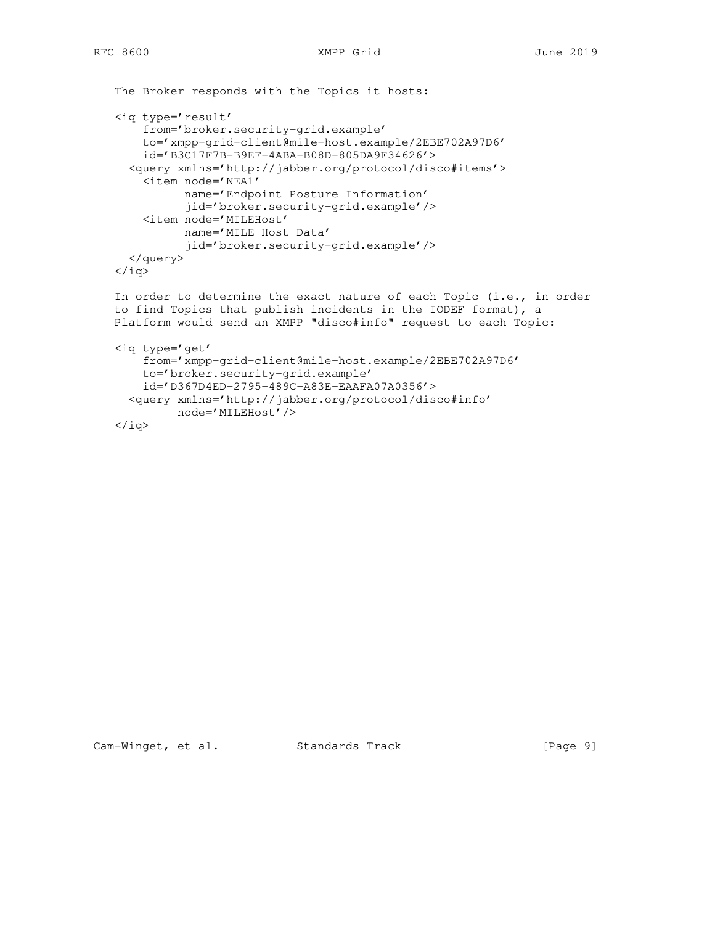```
 The Broker responds with the Topics it hosts:
 <iq type='result'
     from='broker.security-grid.example'
     to='xmpp-grid-client@mile-host.example/2EBE702A97D6'
     id='B3C17F7B-B9EF-4ABA-B08D-805DA9F34626'>
   <query xmlns='http://jabber.org/protocol/disco#items'>
     <item node='NEA1'
           name='Endpoint Posture Information'
           jid='broker.security-grid.example'/>
     <item node='MILEHost'
           name='MILE Host Data'
           jid='broker.security-grid.example'/>
   </query>
\langleiq>
In order to determine the exact nature of each Topic (i.e., in order
 to find Topics that publish incidents in the IODEF format), a
 Platform would send an XMPP "disco#info" request to each Topic:
 <iq type='get'
     from='xmpp-grid-client@mile-host.example/2EBE702A97D6'
     to='broker.security-grid.example'
     id='D367D4ED-2795-489C-A83E-EAAFA07A0356'>
   <query xmlns='http://jabber.org/protocol/disco#info'
          node='MILEHost'/>
\langle \rangleiq>
```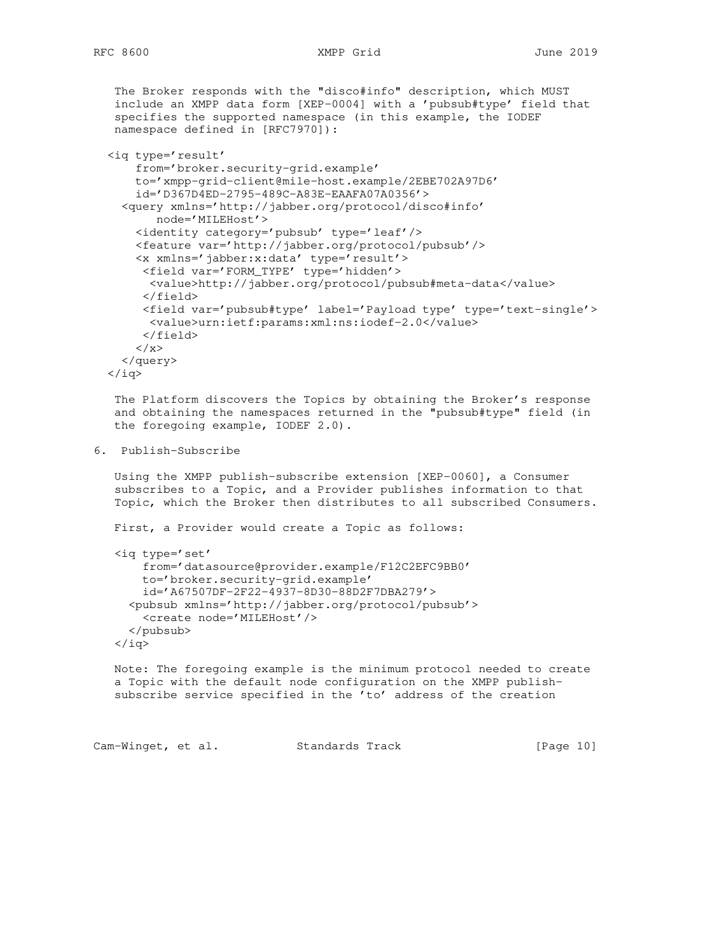The Broker responds with the "disco#info" description, which MUST include an XMPP data form [XEP-0004] with a 'pubsub#type' field that specifies the supported namespace (in this example, the IODEF namespace defined in [RFC7970]):

```
 <iq type='result'
     from='broker.security-grid.example'
     to='xmpp-grid-client@mile-host.example/2EBE702A97D6'
     id='D367D4ED-2795-489C-A83E-EAAFA07A0356'>
   <query xmlns='http://jabber.org/protocol/disco#info'
        node='MILEHost'>
     <identity category='pubsub' type='leaf'/>
     <feature var='http://jabber.org/protocol/pubsub'/>
     <x xmlns='jabber:x:data' type='result'>
      <field var='FORM_TYPE' type='hidden'>
       <value>http://jabber.org/protocol/pubsub#meta-data</value>
      </field>
      <field var='pubsub#type' label='Payload type' type='text-single'>
       <value>urn:ietf:params:xml:ns:iodef-2.0</value>
      </field>
    \langle / x >
   </query>
\langleiq>
```
 The Platform discovers the Topics by obtaining the Broker's response and obtaining the namespaces returned in the "pubsub#type" field (in the foregoing example, IODEF 2.0).

```
6. Publish-Subscribe
```
 Using the XMPP publish-subscribe extension [XEP-0060], a Consumer subscribes to a Topic, and a Provider publishes information to that Topic, which the Broker then distributes to all subscribed Consumers.

First, a Provider would create a Topic as follows:

```
 <iq type='set'
     from='datasource@provider.example/F12C2EFC9BB0'
     to='broker.security-grid.example'
     id='A67507DF-2F22-4937-8D30-88D2F7DBA279'>
   <pubsub xmlns='http://jabber.org/protocol/pubsub'>
     <create node='MILEHost'/>
   </pubsub>
\langleiq>
```
 Note: The foregoing example is the minimum protocol needed to create a Topic with the default node configuration on the XMPP publish subscribe service specified in the 'to' address of the creation

Cam-Winget, et al. Standards Track [Page 10]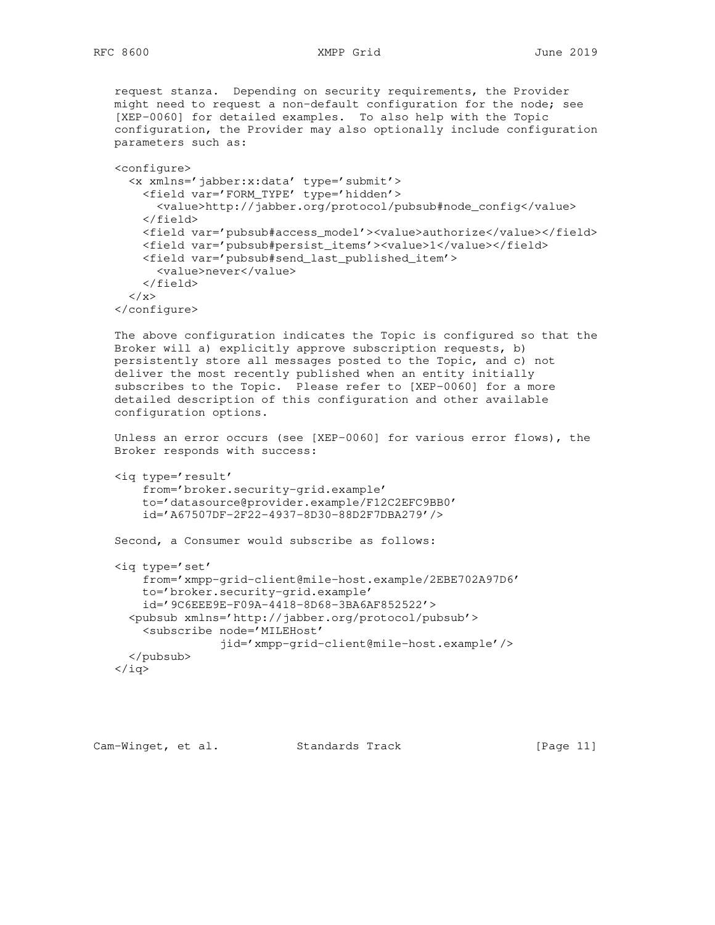request stanza. Depending on security requirements, the Provider might need to request a non-default configuration for the node; see [XEP-0060] for detailed examples. To also help with the Topic configuration, the Provider may also optionally include configuration parameters such as:

 <configure> <x xmlns='jabber:x:data' type='submit'> <field var='FORM\_TYPE' type='hidden'> <value>http://jabber.org/protocol/pubsub#node\_config</value> </field> <field var='pubsub#access\_model'><value>authorize</value></field> <field var='pubsub#persist\_items'><value>1</value></field> <field var='pubsub#send\_last\_published\_item'> <value>never</value> </field>  $\langle$  / x > </configure>

 The above configuration indicates the Topic is configured so that the Broker will a) explicitly approve subscription requests, b) persistently store all messages posted to the Topic, and c) not deliver the most recently published when an entity initially subscribes to the Topic. Please refer to [XEP-0060] for a more detailed description of this configuration and other available configuration options.

 Unless an error occurs (see [XEP-0060] for various error flows), the Broker responds with success:

```
 <iq type='result'
     from='broker.security-grid.example'
     to='datasource@provider.example/F12C2EFC9BB0'
     id='A67507DF-2F22-4937-8D30-88D2F7DBA279'/>
```
Second, a Consumer would subscribe as follows:

```
 <iq type='set'
     from='xmpp-grid-client@mile-host.example/2EBE702A97D6'
     to='broker.security-grid.example'
     id='9C6EEE9E-F09A-4418-8D68-3BA6AF852522'>
   <pubsub xmlns='http://jabber.org/protocol/pubsub'>
     <subscribe node='MILEHost'
                 jid='xmpp-grid-client@mile-host.example'/>
   </pubsub>
\langleiq>
```
Cam-Winget, et al. Standards Track [Page 11]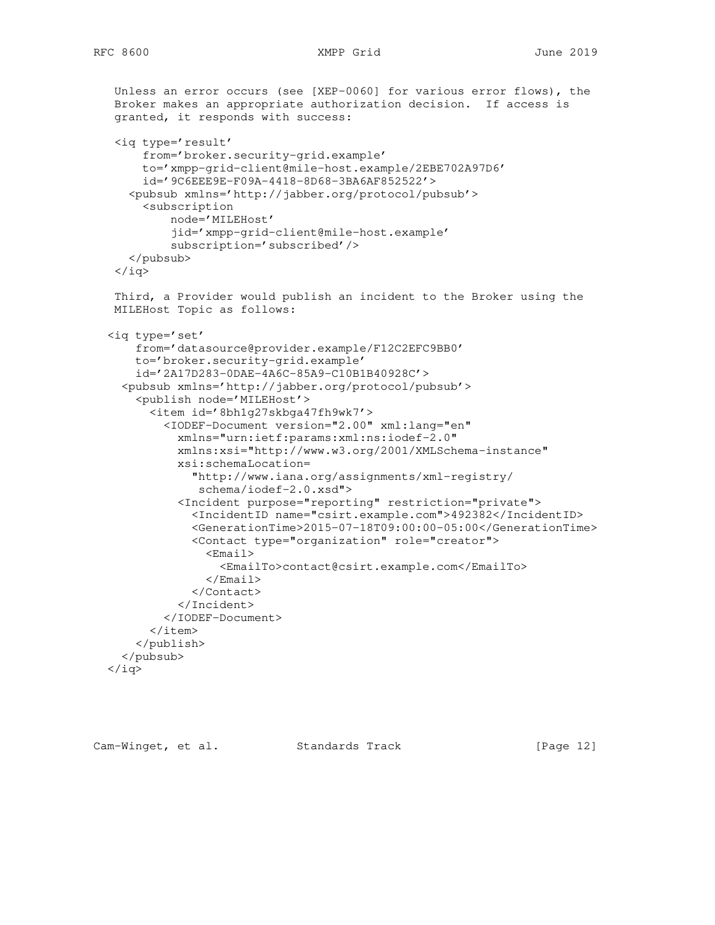```
 Unless an error occurs (see [XEP-0060] for various error flows), the
  Broker makes an appropriate authorization decision. If access is
  granted, it responds with success:
  <iq type='result'
      from='broker.security-grid.example'
      to='xmpp-grid-client@mile-host.example/2EBE702A97D6'
      id='9C6EEE9E-F09A-4418-8D68-3BA6AF852522'>
    <pubsub xmlns='http://jabber.org/protocol/pubsub'>
      <subscription
          node='MILEHost'
          jid='xmpp-grid-client@mile-host.example'
          subscription='subscribed'/>
    </pubsub>
 \langleiq>
  Third, a Provider would publish an incident to the Broker using the
 MILEHost Topic as follows:
 <iq type='set'
     from='datasource@provider.example/F12C2EFC9BB0'
     to='broker.security-grid.example'
     id='2A17D283-0DAE-4A6C-85A9-C10B1B40928C'>
   <pubsub xmlns='http://jabber.org/protocol/pubsub'>
     <publish node='MILEHost'>
       <item id='8bh1g27skbga47fh9wk7'>
         <IODEF-Document version="2.00" xml:lang="en"
           xmlns="urn:ietf:params:xml:ns:iodef-2.0"
           xmlns:xsi="http://www.w3.org/2001/XMLSchema-instance"
           xsi:schemaLocation=
             "http://www.iana.org/assignments/xml-registry/
              schema/iodef-2.0.xsd">
           <Incident purpose="reporting" restriction="private">
             <IncidentID name="csirt.example.com">492382</IncidentID>
             <GenerationTime>2015-07-18T09:00:00-05:00</GenerationTime>
             <Contact type="organization" role="creator">
               <Email>
                  <EmailTo>contact@csirt.example.com</EmailTo>
               </Email>
             </Contact>
           </Incident>
         </IODEF-Document>
      \langleitem>
     </publish>
   </pubsub>
\langleiq>
```
Cam-Winget, et al. Standards Track [Page 12]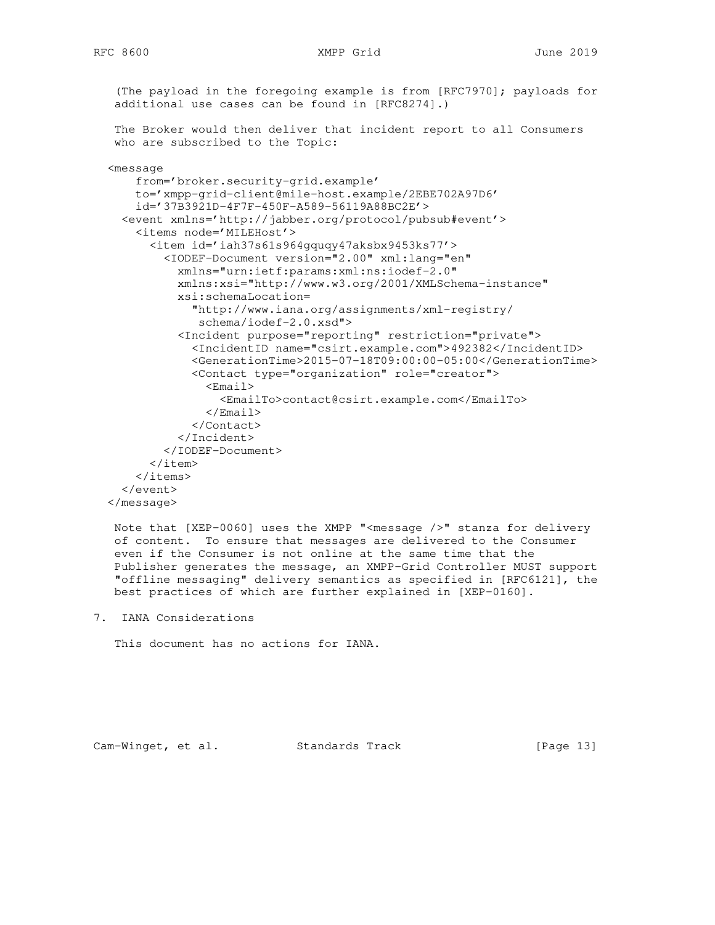```
 (The payload in the foregoing example is from [RFC7970]; payloads for
  additional use cases can be found in [RFC8274].)
  The Broker would then deliver that incident report to all Consumers
 who are subscribed to the Topic:
 <message
    from='broker.security-grid.example'
     to='xmpp-grid-client@mile-host.example/2EBE702A97D6'
     id='37B3921D-4F7F-450F-A589-56119A88BC2E'>
   <event xmlns='http://jabber.org/protocol/pubsub#event'>
     <items node='MILEHost'>
       <item id='iah37s61s964gquqy47aksbx9453ks77'>
         <IODEF-Document version="2.00" xml:lang="en"
           xmlns="urn:ietf:params:xml:ns:iodef-2.0"
           xmlns:xsi="http://www.w3.org/2001/XMLSchema-instance"
           xsi:schemaLocation=
             "http://www.iana.org/assignments/xml-registry/
              schema/iodef-2.0.xsd">
           <Incident purpose="reporting" restriction="private">
             <IncidentID name="csirt.example.com">492382</IncidentID>
             <GenerationTime>2015-07-18T09:00:00-05:00</GenerationTime>
             <Contact type="organization" role="creator">
               <Email>
                 <EmailTo>contact@csirt.example.com</EmailTo>
               </Email>
             </Contact>
           </Incident>
         </IODEF-Document>
       </item>
     </items>
   </event>
```
</message>

 Note that [XEP-0060] uses the XMPP "<message />" stanza for delivery of content. To ensure that messages are delivered to the Consumer even if the Consumer is not online at the same time that the Publisher generates the message, an XMPP-Grid Controller MUST support "offline messaging" delivery semantics as specified in [RFC6121], the best practices of which are further explained in [XEP-0160].

7. IANA Considerations

This document has no actions for IANA.

Cam-Winget, et al. Standards Track [Page 13]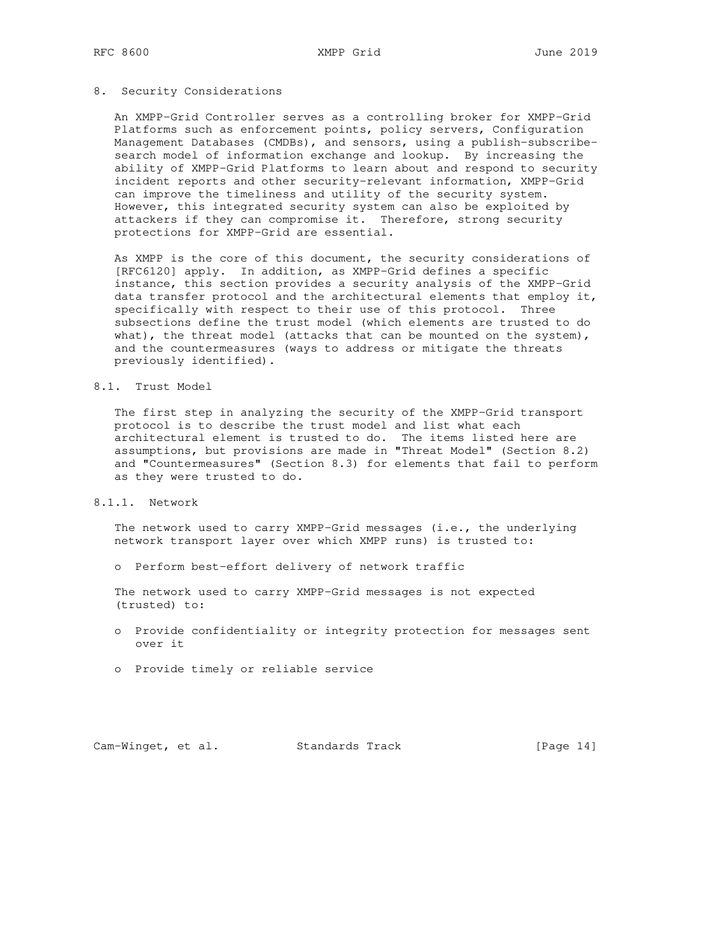### 8. Security Considerations

 An XMPP-Grid Controller serves as a controlling broker for XMPP-Grid Platforms such as enforcement points, policy servers, Configuration Management Databases (CMDBs), and sensors, using a publish-subscribe search model of information exchange and lookup. By increasing the ability of XMPP-Grid Platforms to learn about and respond to security incident reports and other security-relevant information, XMPP-Grid can improve the timeliness and utility of the security system. However, this integrated security system can also be exploited by attackers if they can compromise it. Therefore, strong security protections for XMPP-Grid are essential.

 As XMPP is the core of this document, the security considerations of [RFC6120] apply. In addition, as XMPP-Grid defines a specific instance, this section provides a security analysis of the XMPP-Grid data transfer protocol and the architectural elements that employ it, specifically with respect to their use of this protocol. Three subsections define the trust model (which elements are trusted to do what), the threat model (attacks that can be mounted on the system), and the countermeasures (ways to address or mitigate the threats previously identified).

### 8.1. Trust Model

 The first step in analyzing the security of the XMPP-Grid transport protocol is to describe the trust model and list what each architectural element is trusted to do. The items listed here are assumptions, but provisions are made in "Threat Model" (Section 8.2) and "Countermeasures" (Section 8.3) for elements that fail to perform as they were trusted to do.

# 8.1.1. Network

 The network used to carry XMPP-Grid messages (i.e., the underlying network transport layer over which XMPP runs) is trusted to:

o Perform best-effort delivery of network traffic

 The network used to carry XMPP-Grid messages is not expected (trusted) to:

- o Provide confidentiality or integrity protection for messages sent over it
- o Provide timely or reliable service

Cam-Winget, et al. Standards Track [Page 14]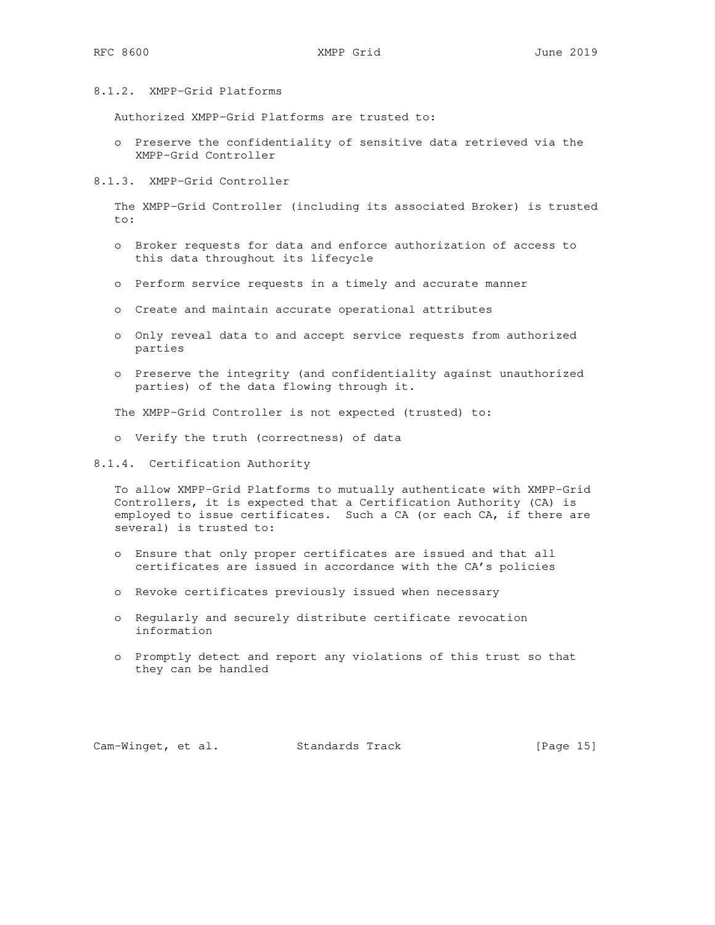## 8.1.2. XMPP-Grid Platforms

Authorized XMPP-Grid Platforms are trusted to:

- o Preserve the confidentiality of sensitive data retrieved via the XMPP-Grid Controller
- 8.1.3. XMPP-Grid Controller

 The XMPP-Grid Controller (including its associated Broker) is trusted to:

- o Broker requests for data and enforce authorization of access to this data throughout its lifecycle
- o Perform service requests in a timely and accurate manner
- o Create and maintain accurate operational attributes
- o Only reveal data to and accept service requests from authorized parties
- o Preserve the integrity (and confidentiality against unauthorized parties) of the data flowing through it.

The XMPP-Grid Controller is not expected (trusted) to:

- o Verify the truth (correctness) of data
- 8.1.4. Certification Authority

 To allow XMPP-Grid Platforms to mutually authenticate with XMPP-Grid Controllers, it is expected that a Certification Authority (CA) is employed to issue certificates. Such a CA (or each CA, if there are several) is trusted to:

- o Ensure that only proper certificates are issued and that all certificates are issued in accordance with the CA's policies
- o Revoke certificates previously issued when necessary
- o Regularly and securely distribute certificate revocation information
- o Promptly detect and report any violations of this trust so that they can be handled

Cam-Winget, et al. Standards Track [Page 15]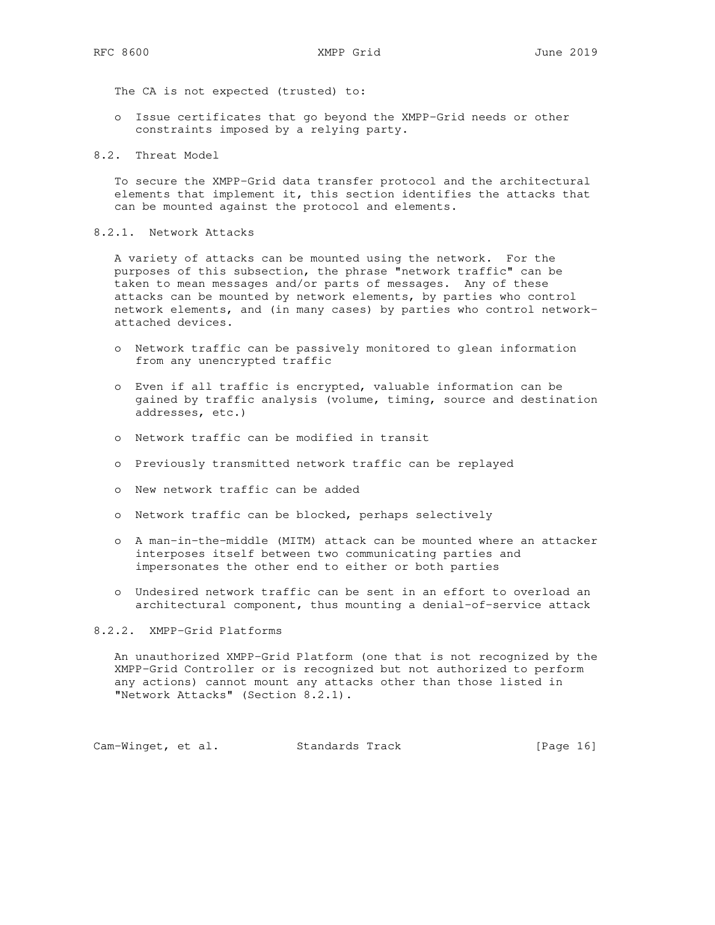The CA is not expected (trusted) to:

- o Issue certificates that go beyond the XMPP-Grid needs or other constraints imposed by a relying party.
- 8.2. Threat Model

 To secure the XMPP-Grid data transfer protocol and the architectural elements that implement it, this section identifies the attacks that can be mounted against the protocol and elements.

### 8.2.1. Network Attacks

 A variety of attacks can be mounted using the network. For the purposes of this subsection, the phrase "network traffic" can be taken to mean messages and/or parts of messages. Any of these attacks can be mounted by network elements, by parties who control network elements, and (in many cases) by parties who control network attached devices.

- o Network traffic can be passively monitored to glean information from any unencrypted traffic
- o Even if all traffic is encrypted, valuable information can be gained by traffic analysis (volume, timing, source and destination addresses, etc.)
- o Network traffic can be modified in transit
- o Previously transmitted network traffic can be replayed
- o New network traffic can be added
- o Network traffic can be blocked, perhaps selectively
- o A man-in-the-middle (MITM) attack can be mounted where an attacker interposes itself between two communicating parties and impersonates the other end to either or both parties
- o Undesired network traffic can be sent in an effort to overload an architectural component, thus mounting a denial-of-service attack

8.2.2. XMPP-Grid Platforms

 An unauthorized XMPP-Grid Platform (one that is not recognized by the XMPP-Grid Controller or is recognized but not authorized to perform any actions) cannot mount any attacks other than those listed in "Network Attacks" (Section 8.2.1).

Cam-Winget, et al. Standards Track [Page 16]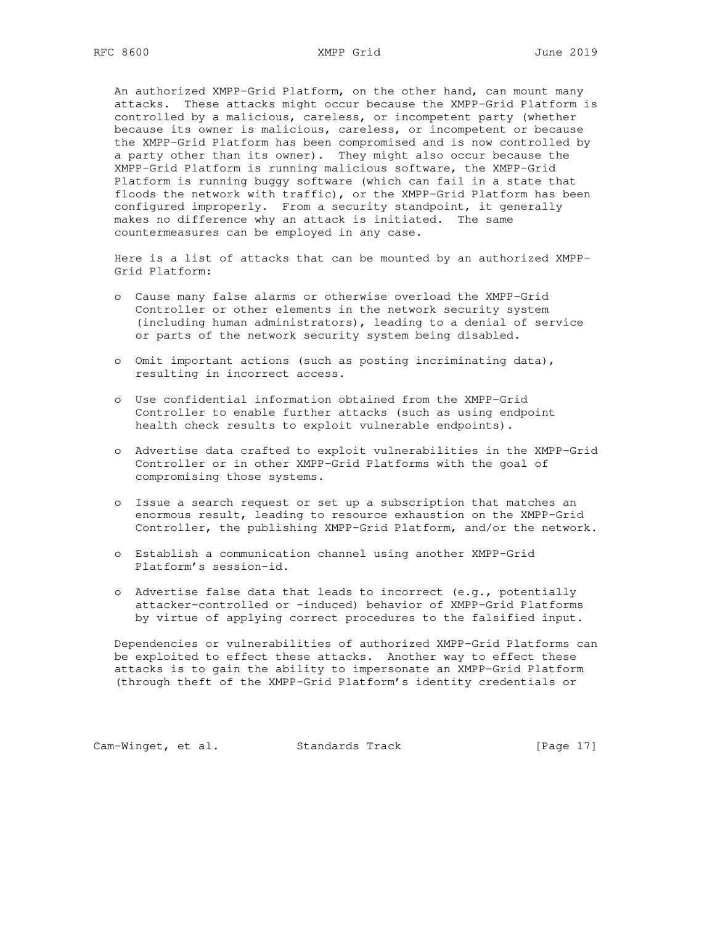An authorized XMPP-Grid Platform, on the other hand, can mount many attacks. These attacks might occur because the XMPP-Grid Platform is controlled by a malicious, careless, or incompetent party (whether because its owner is malicious, careless, or incompetent or because the XMPP-Grid Platform has been compromised and is now controlled by a party other than its owner). They might also occur because the XMPP-Grid Platform is running malicious software, the XMPP-Grid Platform is running buggy software (which can fail in a state that floods the network with traffic), or the XMPP-Grid Platform has been configured improperly. From a security standpoint, it generally makes no difference why an attack is initiated. The same countermeasures can be employed in any case.

 Here is a list of attacks that can be mounted by an authorized XMPP- Grid Platform:

- o Cause many false alarms or otherwise overload the XMPP-Grid Controller or other elements in the network security system (including human administrators), leading to a denial of service or parts of the network security system being disabled.
- o Omit important actions (such as posting incriminating data), resulting in incorrect access.
- o Use confidential information obtained from the XMPP-Grid Controller to enable further attacks (such as using endpoint health check results to exploit vulnerable endpoints).
- o Advertise data crafted to exploit vulnerabilities in the XMPP-Grid Controller or in other XMPP-Grid Platforms with the goal of compromising those systems.
- o Issue a search request or set up a subscription that matches an enormous result, leading to resource exhaustion on the XMPP-Grid Controller, the publishing XMPP-Grid Platform, and/or the network.
- o Establish a communication channel using another XMPP-Grid Platform's session-id.
- o Advertise false data that leads to incorrect (e.g., potentially attacker-controlled or -induced) behavior of XMPP-Grid Platforms by virtue of applying correct procedures to the falsified input.

 Dependencies or vulnerabilities of authorized XMPP-Grid Platforms can be exploited to effect these attacks. Another way to effect these attacks is to gain the ability to impersonate an XMPP-Grid Platform (through theft of the XMPP-Grid Platform's identity credentials or

Cam-Winget, et al. Standards Track [Page 17]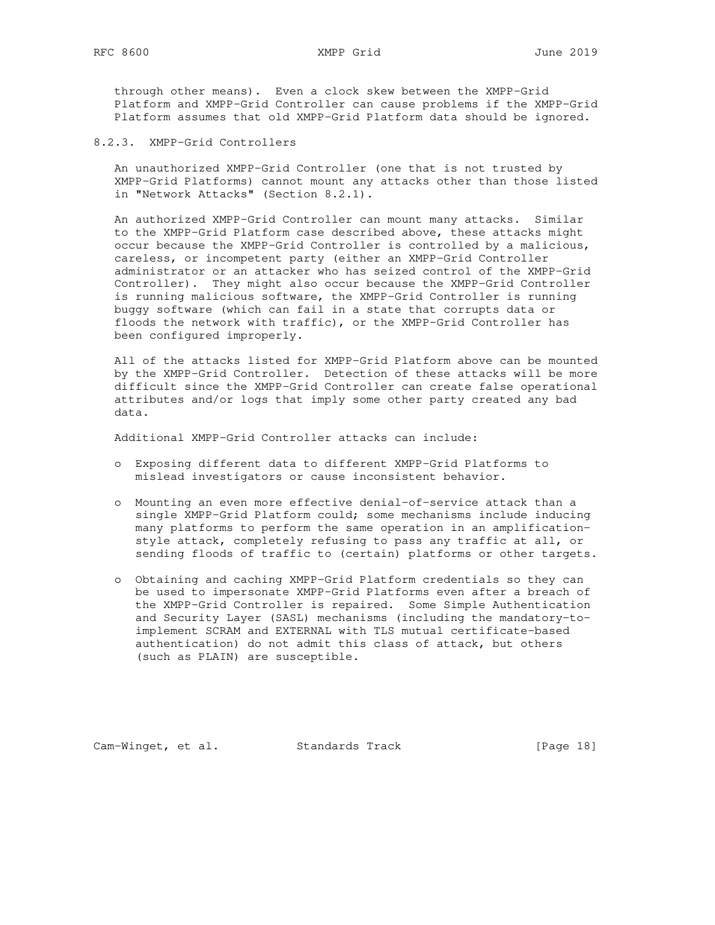through other means). Even a clock skew between the XMPP-Grid Platform and XMPP-Grid Controller can cause problems if the XMPP-Grid Platform assumes that old XMPP-Grid Platform data should be ignored.

8.2.3. XMPP-Grid Controllers

 An unauthorized XMPP-Grid Controller (one that is not trusted by XMPP-Grid Platforms) cannot mount any attacks other than those listed in "Network Attacks" (Section 8.2.1).

 An authorized XMPP-Grid Controller can mount many attacks. Similar to the XMPP-Grid Platform case described above, these attacks might occur because the XMPP-Grid Controller is controlled by a malicious, careless, or incompetent party (either an XMPP-Grid Controller administrator or an attacker who has seized control of the XMPP-Grid Controller). They might also occur because the XMPP-Grid Controller is running malicious software, the XMPP-Grid Controller is running buggy software (which can fail in a state that corrupts data or floods the network with traffic), or the XMPP-Grid Controller has been configured improperly.

 All of the attacks listed for XMPP-Grid Platform above can be mounted by the XMPP-Grid Controller. Detection of these attacks will be more difficult since the XMPP-Grid Controller can create false operational attributes and/or logs that imply some other party created any bad data.

Additional XMPP-Grid Controller attacks can include:

- o Exposing different data to different XMPP-Grid Platforms to mislead investigators or cause inconsistent behavior.
- o Mounting an even more effective denial-of-service attack than a single XMPP-Grid Platform could; some mechanisms include inducing many platforms to perform the same operation in an amplification style attack, completely refusing to pass any traffic at all, or sending floods of traffic to (certain) platforms or other targets.
- o Obtaining and caching XMPP-Grid Platform credentials so they can be used to impersonate XMPP-Grid Platforms even after a breach of the XMPP-Grid Controller is repaired. Some Simple Authentication and Security Layer (SASL) mechanisms (including the mandatory-to implement SCRAM and EXTERNAL with TLS mutual certificate-based authentication) do not admit this class of attack, but others (such as PLAIN) are susceptible.

Cam-Winget, et al. Standards Track [Page 18]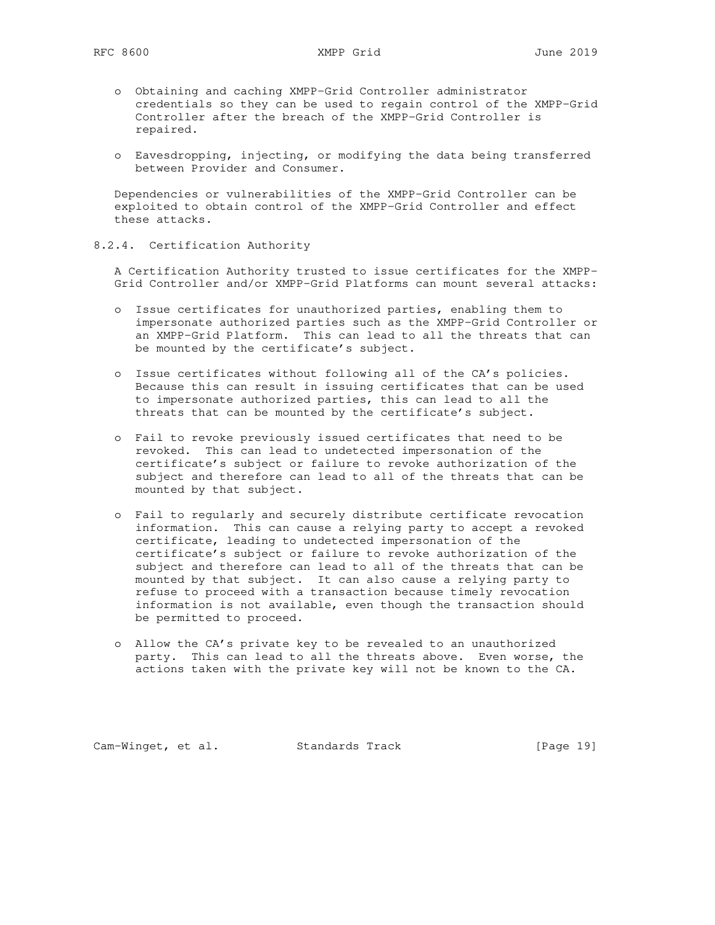- o Obtaining and caching XMPP-Grid Controller administrator credentials so they can be used to regain control of the XMPP-Grid Controller after the breach of the XMPP-Grid Controller is repaired.
- o Eavesdropping, injecting, or modifying the data being transferred between Provider and Consumer.

 Dependencies or vulnerabilities of the XMPP-Grid Controller can be exploited to obtain control of the XMPP-Grid Controller and effect these attacks.

8.2.4. Certification Authority

 A Certification Authority trusted to issue certificates for the XMPP- Grid Controller and/or XMPP-Grid Platforms can mount several attacks:

- o Issue certificates for unauthorized parties, enabling them to impersonate authorized parties such as the XMPP-Grid Controller or an XMPP-Grid Platform. This can lead to all the threats that can be mounted by the certificate's subject.
- o Issue certificates without following all of the CA's policies. Because this can result in issuing certificates that can be used to impersonate authorized parties, this can lead to all the threats that can be mounted by the certificate's subject.
- o Fail to revoke previously issued certificates that need to be revoked. This can lead to undetected impersonation of the certificate's subject or failure to revoke authorization of the subject and therefore can lead to all of the threats that can be mounted by that subject.
- o Fail to regularly and securely distribute certificate revocation information. This can cause a relying party to accept a revoked certificate, leading to undetected impersonation of the certificate's subject or failure to revoke authorization of the subject and therefore can lead to all of the threats that can be mounted by that subject. It can also cause a relying party to refuse to proceed with a transaction because timely revocation information is not available, even though the transaction should be permitted to proceed.
- o Allow the CA's private key to be revealed to an unauthorized party. This can lead to all the threats above. Even worse, the actions taken with the private key will not be known to the CA.

Cam-Winget, et al. Standards Track [Page 19]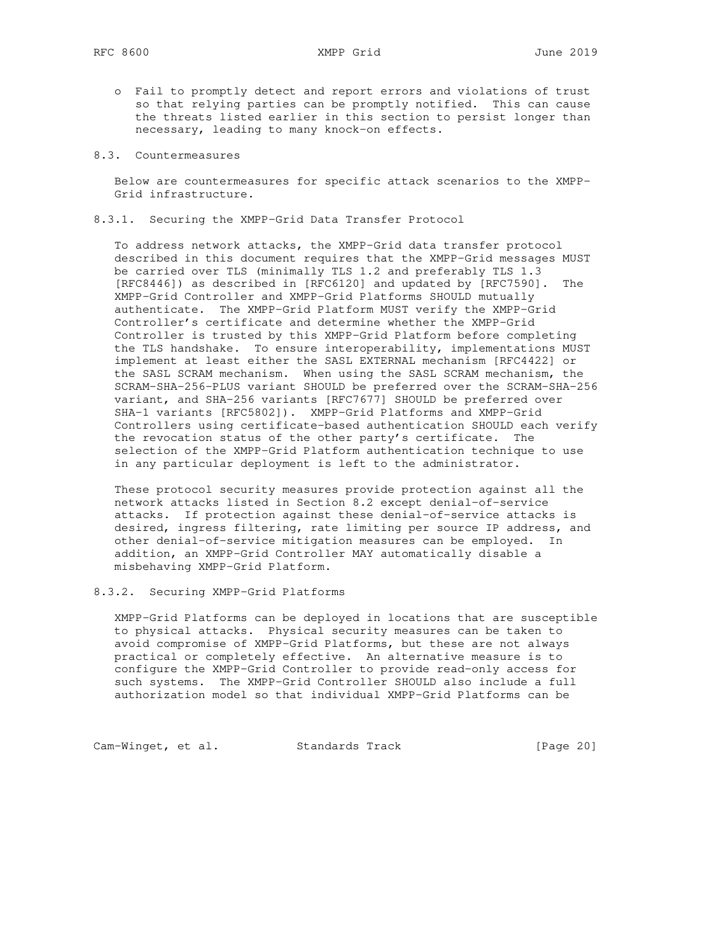- o Fail to promptly detect and report errors and violations of trust so that relying parties can be promptly notified. This can cause the threats listed earlier in this section to persist longer than necessary, leading to many knock-on effects.
- 8.3. Countermeasures

 Below are countermeasures for specific attack scenarios to the XMPP- Grid infrastructure.

8.3.1. Securing the XMPP-Grid Data Transfer Protocol

 To address network attacks, the XMPP-Grid data transfer protocol described in this document requires that the XMPP-Grid messages MUST be carried over TLS (minimally TLS 1.2 and preferably TLS 1.3 [RFC8446]) as described in [RFC6120] and updated by [RFC7590]. The XMPP-Grid Controller and XMPP-Grid Platforms SHOULD mutually authenticate. The XMPP-Grid Platform MUST verify the XMPP-Grid Controller's certificate and determine whether the XMPP-Grid Controller is trusted by this XMPP-Grid Platform before completing the TLS handshake. To ensure interoperability, implementations MUST implement at least either the SASL EXTERNAL mechanism [RFC4422] or the SASL SCRAM mechanism. When using the SASL SCRAM mechanism, the SCRAM-SHA-256-PLUS variant SHOULD be preferred over the SCRAM-SHA-256 variant, and SHA-256 variants [RFC7677] SHOULD be preferred over SHA-1 variants [RFC5802]). XMPP-Grid Platforms and XMPP-Grid Controllers using certificate-based authentication SHOULD each verify the revocation status of the other party's certificate. The selection of the XMPP-Grid Platform authentication technique to use in any particular deployment is left to the administrator.

 These protocol security measures provide protection against all the network attacks listed in Section 8.2 except denial-of-service attacks. If protection against these denial-of-service attacks is desired, ingress filtering, rate limiting per source IP address, and other denial-of-service mitigation measures can be employed. In addition, an XMPP-Grid Controller MAY automatically disable a misbehaving XMPP-Grid Platform.

### 8.3.2. Securing XMPP-Grid Platforms

 XMPP-Grid Platforms can be deployed in locations that are susceptible to physical attacks. Physical security measures can be taken to avoid compromise of XMPP-Grid Platforms, but these are not always practical or completely effective. An alternative measure is to configure the XMPP-Grid Controller to provide read-only access for such systems. The XMPP-Grid Controller SHOULD also include a full authorization model so that individual XMPP-Grid Platforms can be

Cam-Winget, et al. Standards Track [Page 20]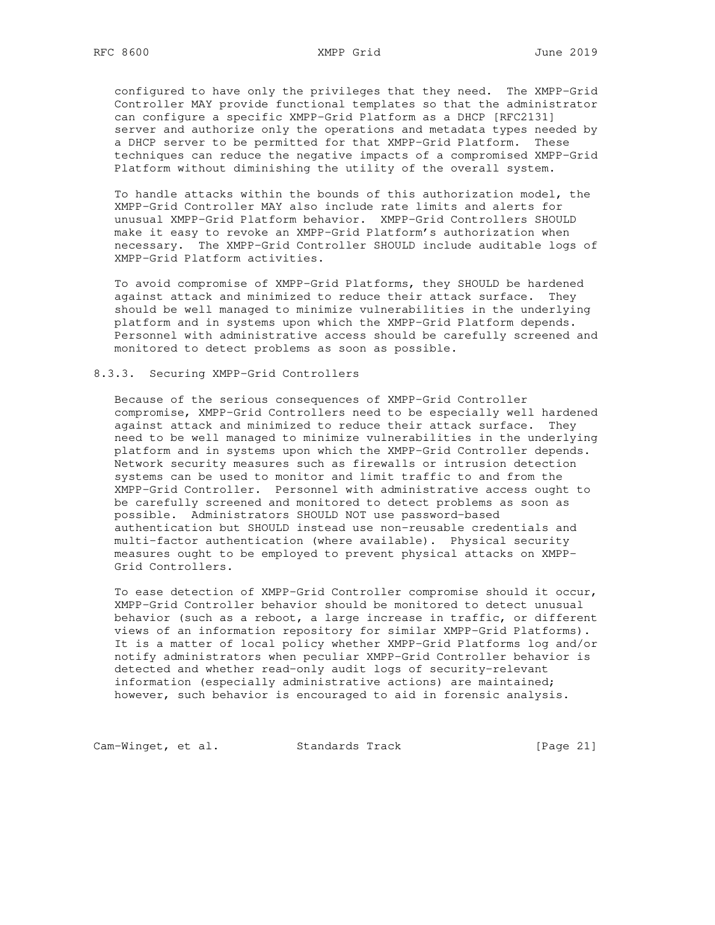configured to have only the privileges that they need. The XMPP-Grid Controller MAY provide functional templates so that the administrator can configure a specific XMPP-Grid Platform as a DHCP [RFC2131] server and authorize only the operations and metadata types needed by a DHCP server to be permitted for that XMPP-Grid Platform. These techniques can reduce the negative impacts of a compromised XMPP-Grid Platform without diminishing the utility of the overall system.

 To handle attacks within the bounds of this authorization model, the XMPP-Grid Controller MAY also include rate limits and alerts for unusual XMPP-Grid Platform behavior. XMPP-Grid Controllers SHOULD make it easy to revoke an XMPP-Grid Platform's authorization when necessary. The XMPP-Grid Controller SHOULD include auditable logs of XMPP-Grid Platform activities.

 To avoid compromise of XMPP-Grid Platforms, they SHOULD be hardened against attack and minimized to reduce their attack surface. They should be well managed to minimize vulnerabilities in the underlying platform and in systems upon which the XMPP-Grid Platform depends. Personnel with administrative access should be carefully screened and monitored to detect problems as soon as possible.

#### 8.3.3. Securing XMPP-Grid Controllers

 Because of the serious consequences of XMPP-Grid Controller compromise, XMPP-Grid Controllers need to be especially well hardened against attack and minimized to reduce their attack surface. They need to be well managed to minimize vulnerabilities in the underlying platform and in systems upon which the XMPP-Grid Controller depends. Network security measures such as firewalls or intrusion detection systems can be used to monitor and limit traffic to and from the XMPP-Grid Controller. Personnel with administrative access ought to be carefully screened and monitored to detect problems as soon as possible. Administrators SHOULD NOT use password-based authentication but SHOULD instead use non-reusable credentials and multi-factor authentication (where available). Physical security measures ought to be employed to prevent physical attacks on XMPP- Grid Controllers.

 To ease detection of XMPP-Grid Controller compromise should it occur, XMPP-Grid Controller behavior should be monitored to detect unusual behavior (such as a reboot, a large increase in traffic, or different views of an information repository for similar XMPP-Grid Platforms). It is a matter of local policy whether XMPP-Grid Platforms log and/or notify administrators when peculiar XMPP-Grid Controller behavior is detected and whether read-only audit logs of security-relevant information (especially administrative actions) are maintained; however, such behavior is encouraged to aid in forensic analysis.

Cam-Winget, et al. Standards Track [Page 21]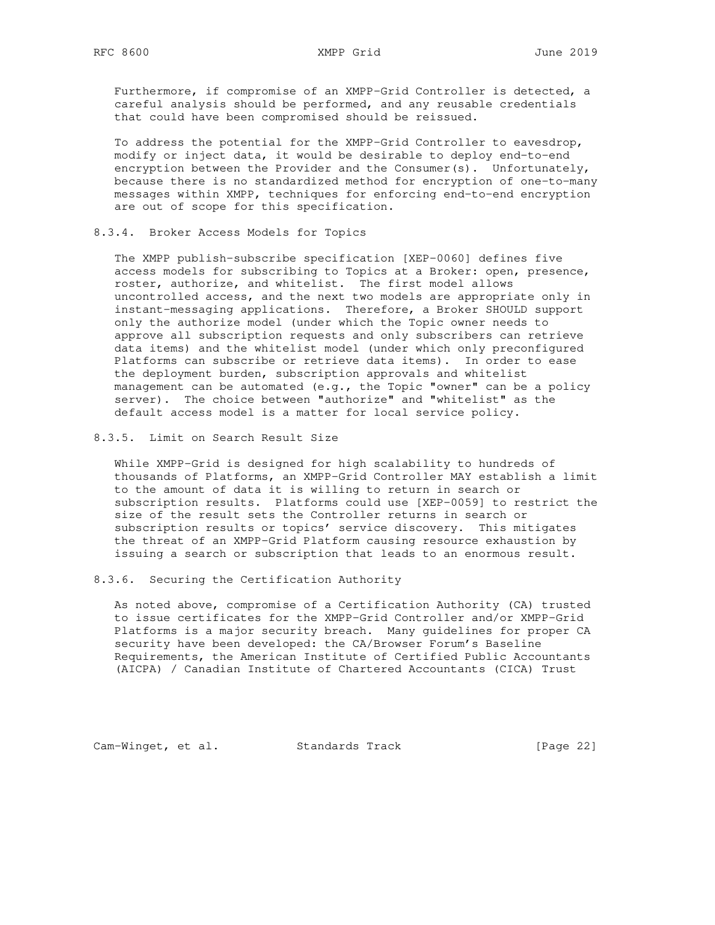Furthermore, if compromise of an XMPP-Grid Controller is detected, a careful analysis should be performed, and any reusable credentials that could have been compromised should be reissued.

 To address the potential for the XMPP-Grid Controller to eavesdrop, modify or inject data, it would be desirable to deploy end-to-end encryption between the Provider and the Consumer(s). Unfortunately, because there is no standardized method for encryption of one-to-many messages within XMPP, techniques for enforcing end-to-end encryption are out of scope for this specification.

8.3.4. Broker Access Models for Topics

 The XMPP publish-subscribe specification [XEP-0060] defines five access models for subscribing to Topics at a Broker: open, presence, roster, authorize, and whitelist. The first model allows uncontrolled access, and the next two models are appropriate only in instant-messaging applications. Therefore, a Broker SHOULD support only the authorize model (under which the Topic owner needs to approve all subscription requests and only subscribers can retrieve data items) and the whitelist model (under which only preconfigured Platforms can subscribe or retrieve data items). In order to ease the deployment burden, subscription approvals and whitelist management can be automated (e.g., the Topic "owner" can be a policy server). The choice between "authorize" and "whitelist" as the default access model is a matter for local service policy.

8.3.5. Limit on Search Result Size

 While XMPP-Grid is designed for high scalability to hundreds of thousands of Platforms, an XMPP-Grid Controller MAY establish a limit to the amount of data it is willing to return in search or subscription results. Platforms could use [XEP-0059] to restrict the size of the result sets the Controller returns in search or subscription results or topics' service discovery. This mitigates the threat of an XMPP-Grid Platform causing resource exhaustion by issuing a search or subscription that leads to an enormous result.

8.3.6. Securing the Certification Authority

 As noted above, compromise of a Certification Authority (CA) trusted to issue certificates for the XMPP-Grid Controller and/or XMPP-Grid Platforms is a major security breach. Many guidelines for proper CA security have been developed: the CA/Browser Forum's Baseline Requirements, the American Institute of Certified Public Accountants (AICPA) / Canadian Institute of Chartered Accountants (CICA) Trust

Cam-Winget, et al. Standards Track [Page 22]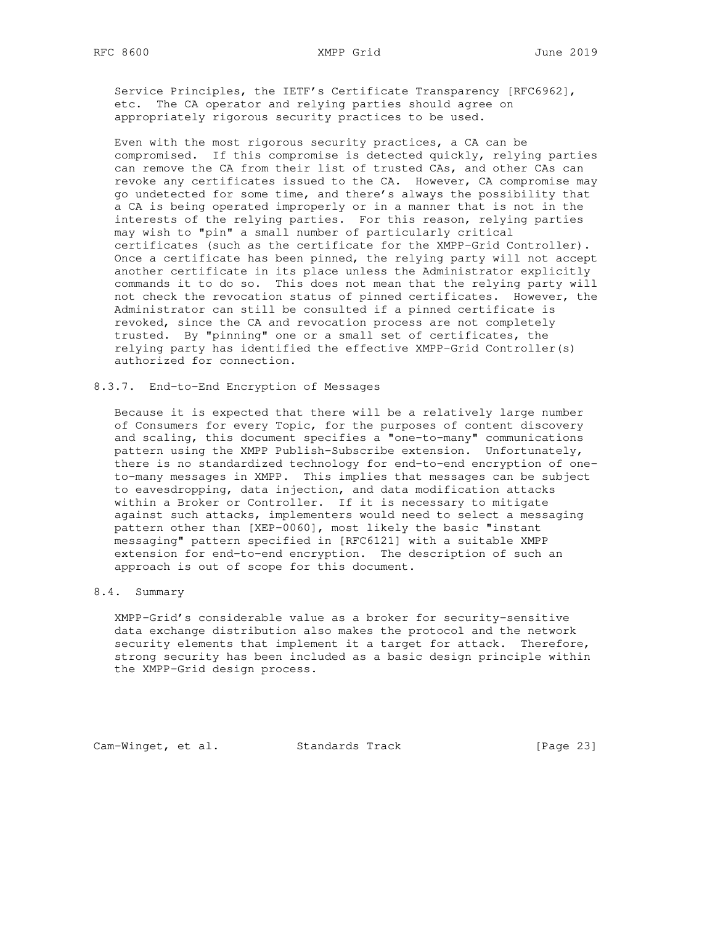Service Principles, the IETF's Certificate Transparency [RFC6962], etc. The CA operator and relying parties should agree on appropriately rigorous security practices to be used.

 Even with the most rigorous security practices, a CA can be compromised. If this compromise is detected quickly, relying parties can remove the CA from their list of trusted CAs, and other CAs can revoke any certificates issued to the CA. However, CA compromise may go undetected for some time, and there's always the possibility that a CA is being operated improperly or in a manner that is not in the interests of the relying parties. For this reason, relying parties may wish to "pin" a small number of particularly critical certificates (such as the certificate for the XMPP-Grid Controller). Once a certificate has been pinned, the relying party will not accept another certificate in its place unless the Administrator explicitly commands it to do so. This does not mean that the relying party will not check the revocation status of pinned certificates. However, the Administrator can still be consulted if a pinned certificate is revoked, since the CA and revocation process are not completely trusted. By "pinning" one or a small set of certificates, the relying party has identified the effective XMPP-Grid Controller(s) authorized for connection.

8.3.7. End-to-End Encryption of Messages

 Because it is expected that there will be a relatively large number of Consumers for every Topic, for the purposes of content discovery and scaling, this document specifies a "one-to-many" communications pattern using the XMPP Publish-Subscribe extension. Unfortunately, there is no standardized technology for end-to-end encryption of one to-many messages in XMPP. This implies that messages can be subject to eavesdropping, data injection, and data modification attacks within a Broker or Controller. If it is necessary to mitigate against such attacks, implementers would need to select a messaging pattern other than [XEP-0060], most likely the basic "instant messaging" pattern specified in [RFC6121] with a suitable XMPP extension for end-to-end encryption. The description of such an approach is out of scope for this document.

## 8.4. Summary

 XMPP-Grid's considerable value as a broker for security-sensitive data exchange distribution also makes the protocol and the network security elements that implement it a target for attack. Therefore, strong security has been included as a basic design principle within the XMPP-Grid design process.

Cam-Winget, et al. Standards Track [Page 23]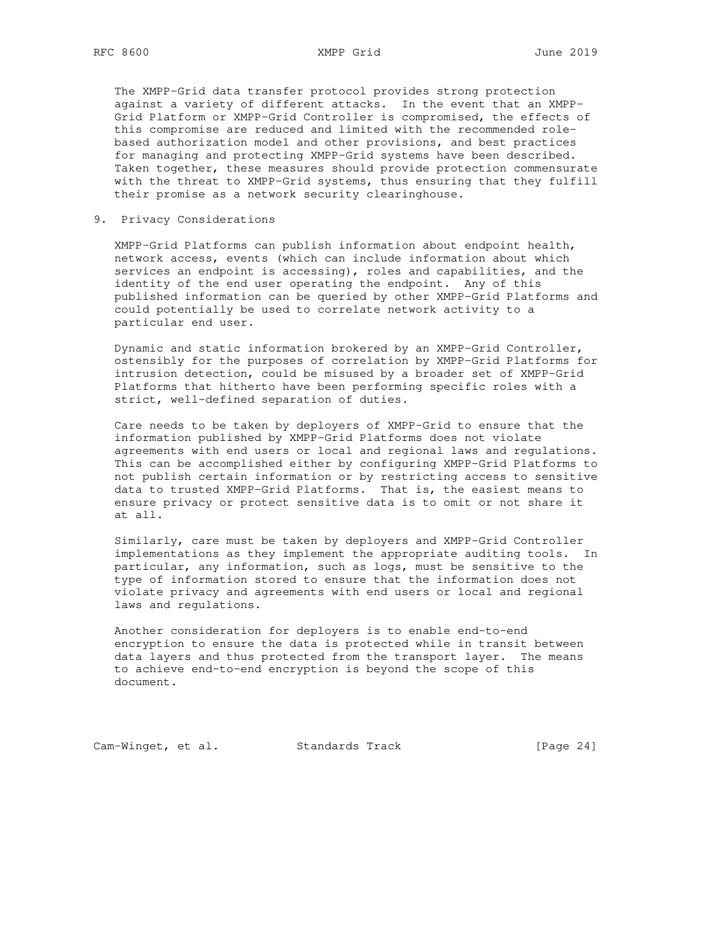The XMPP-Grid data transfer protocol provides strong protection against a variety of different attacks. In the event that an XMPP- Grid Platform or XMPP-Grid Controller is compromised, the effects of this compromise are reduced and limited with the recommended role based authorization model and other provisions, and best practices for managing and protecting XMPP-Grid systems have been described. Taken together, these measures should provide protection commensurate with the threat to XMPP-Grid systems, thus ensuring that they fulfill their promise as a network security clearinghouse.

9. Privacy Considerations

 XMPP-Grid Platforms can publish information about endpoint health, network access, events (which can include information about which services an endpoint is accessing), roles and capabilities, and the identity of the end user operating the endpoint. Any of this published information can be queried by other XMPP-Grid Platforms and could potentially be used to correlate network activity to a particular end user.

 Dynamic and static information brokered by an XMPP-Grid Controller, ostensibly for the purposes of correlation by XMPP-Grid Platforms for intrusion detection, could be misused by a broader set of XMPP-Grid Platforms that hitherto have been performing specific roles with a strict, well-defined separation of duties.

 Care needs to be taken by deployers of XMPP-Grid to ensure that the information published by XMPP-Grid Platforms does not violate agreements with end users or local and regional laws and regulations. This can be accomplished either by configuring XMPP-Grid Platforms to not publish certain information or by restricting access to sensitive data to trusted XMPP-Grid Platforms. That is, the easiest means to ensure privacy or protect sensitive data is to omit or not share it at all.

 Similarly, care must be taken by deployers and XMPP-Grid Controller implementations as they implement the appropriate auditing tools. In particular, any information, such as logs, must be sensitive to the type of information stored to ensure that the information does not violate privacy and agreements with end users or local and regional laws and regulations.

 Another consideration for deployers is to enable end-to-end encryption to ensure the data is protected while in transit between data layers and thus protected from the transport layer. The means to achieve end-to-end encryption is beyond the scope of this document.

Cam-Winget, et al. Standards Track [Page 24]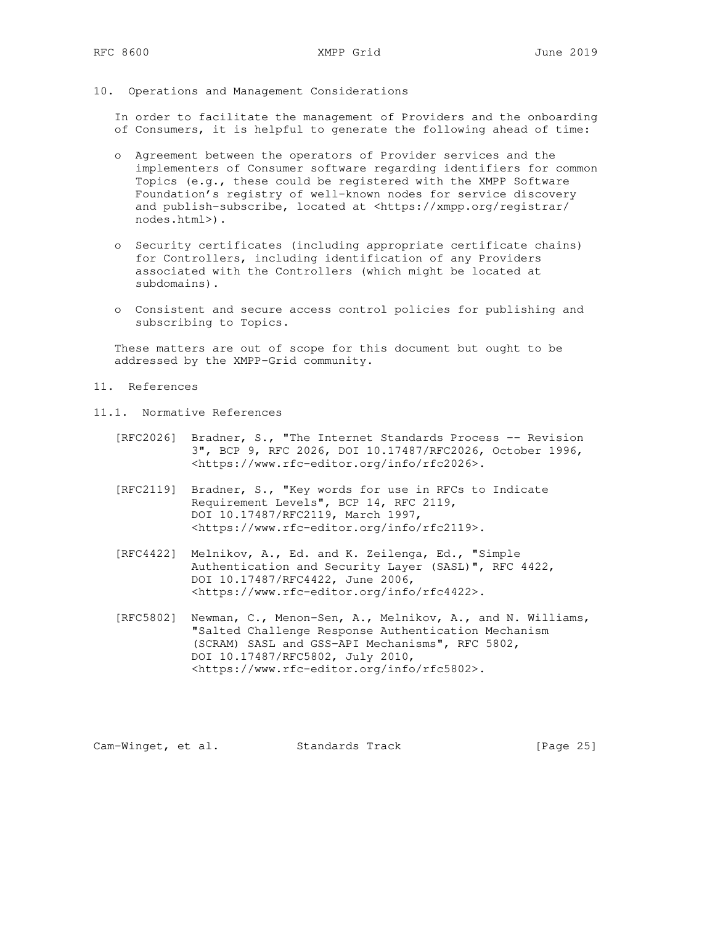10. Operations and Management Considerations

 In order to facilitate the management of Providers and the onboarding of Consumers, it is helpful to generate the following ahead of time:

- o Agreement between the operators of Provider services and the implementers of Consumer software regarding identifiers for common Topics (e.g., these could be registered with the XMPP Software Foundation's registry of well-known nodes for service discovery and publish-subscribe, located at <https://xmpp.org/registrar/ nodes.html>).
- o Security certificates (including appropriate certificate chains) for Controllers, including identification of any Providers associated with the Controllers (which might be located at subdomains).
- o Consistent and secure access control policies for publishing and subscribing to Topics.

 These matters are out of scope for this document but ought to be addressed by the XMPP-Grid community.

- 11. References
- 11.1. Normative References
	- [RFC2026] Bradner, S., "The Internet Standards Process -- Revision 3", BCP 9, RFC 2026, DOI 10.17487/RFC2026, October 1996, <https://www.rfc-editor.org/info/rfc2026>.
	- [RFC2119] Bradner, S., "Key words for use in RFCs to Indicate Requirement Levels", BCP 14, RFC 2119, DOI 10.17487/RFC2119, March 1997, <https://www.rfc-editor.org/info/rfc2119>.
	- [RFC4422] Melnikov, A., Ed. and K. Zeilenga, Ed., "Simple Authentication and Security Layer (SASL)", RFC 4422, DOI 10.17487/RFC4422, June 2006, <https://www.rfc-editor.org/info/rfc4422>.
	- [RFC5802] Newman, C., Menon-Sen, A., Melnikov, A., and N. Williams, "Salted Challenge Response Authentication Mechanism (SCRAM) SASL and GSS-API Mechanisms", RFC 5802, DOI 10.17487/RFC5802, July 2010, <https://www.rfc-editor.org/info/rfc5802>.

Cam-Winget, et al. Standards Track [Page 25]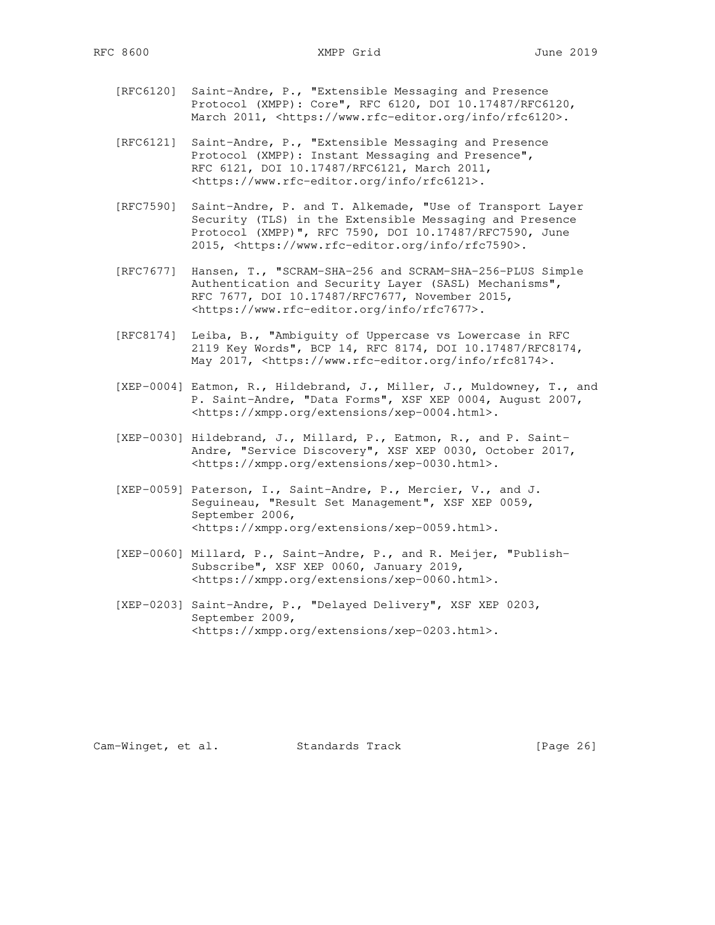- [RFC6120] Saint-Andre, P., "Extensible Messaging and Presence Protocol (XMPP): Core", RFC 6120, DOI 10.17487/RFC6120, March 2011, <https://www.rfc-editor.org/info/rfc6120>.
- [RFC6121] Saint-Andre, P., "Extensible Messaging and Presence Protocol (XMPP): Instant Messaging and Presence", RFC 6121, DOI 10.17487/RFC6121, March 2011, <https://www.rfc-editor.org/info/rfc6121>.
- [RFC7590] Saint-Andre, P. and T. Alkemade, "Use of Transport Layer Security (TLS) in the Extensible Messaging and Presence Protocol (XMPP)", RFC 7590, DOI 10.17487/RFC7590, June 2015, <https://www.rfc-editor.org/info/rfc7590>.
- [RFC7677] Hansen, T., "SCRAM-SHA-256 and SCRAM-SHA-256-PLUS Simple Authentication and Security Layer (SASL) Mechanisms", RFC 7677, DOI 10.17487/RFC7677, November 2015, <https://www.rfc-editor.org/info/rfc7677>.
- [RFC8174] Leiba, B., "Ambiguity of Uppercase vs Lowercase in RFC 2119 Key Words", BCP 14, RFC 8174, DOI 10.17487/RFC8174, May 2017, <https://www.rfc-editor.org/info/rfc8174>.
- [XEP-0004] Eatmon, R., Hildebrand, J., Miller, J., Muldowney, T., and P. Saint-Andre, "Data Forms", XSF XEP 0004, August 2007, <https://xmpp.org/extensions/xep-0004.html>.
- [XEP-0030] Hildebrand, J., Millard, P., Eatmon, R., and P. Saint- Andre, "Service Discovery", XSF XEP 0030, October 2017, <https://xmpp.org/extensions/xep-0030.html>.
- [XEP-0059] Paterson, I., Saint-Andre, P., Mercier, V., and J. Seguineau, "Result Set Management", XSF XEP 0059, September 2006, <https://xmpp.org/extensions/xep-0059.html>.
- [XEP-0060] Millard, P., Saint-Andre, P., and R. Meijer, "Publish- Subscribe", XSF XEP 0060, January 2019, <https://xmpp.org/extensions/xep-0060.html>.
- [XEP-0203] Saint-Andre, P., "Delayed Delivery", XSF XEP 0203, September 2009, <https://xmpp.org/extensions/xep-0203.html>.

Cam-Winget, et al. Standards Track [Page 26]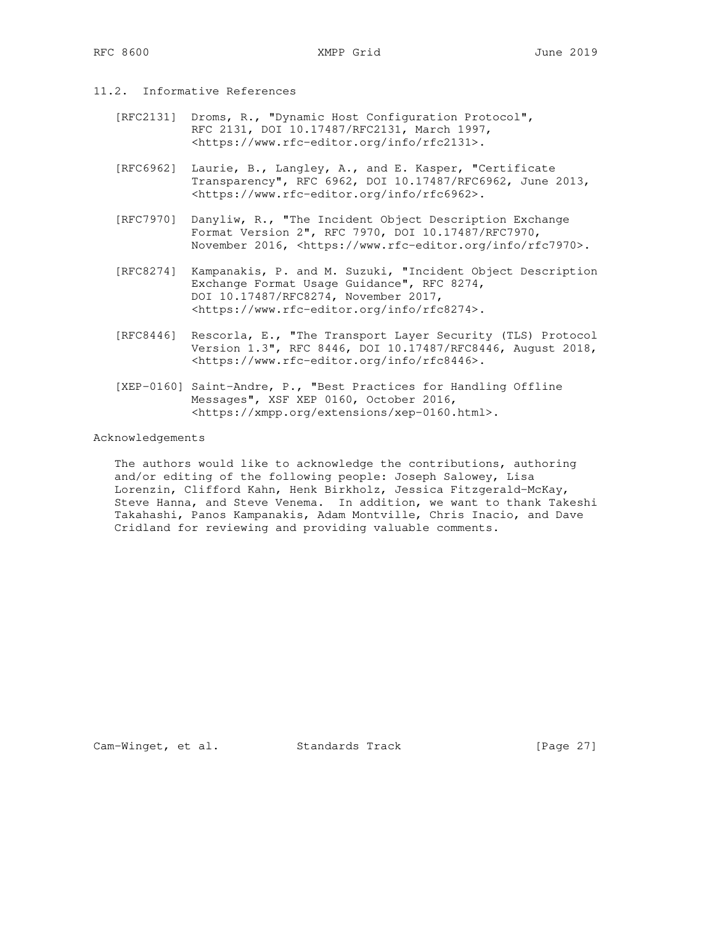- 11.2. Informative References
	- [RFC2131] Droms, R., "Dynamic Host Configuration Protocol", RFC 2131, DOI 10.17487/RFC2131, March 1997, <https://www.rfc-editor.org/info/rfc2131>.
	- [RFC6962] Laurie, B., Langley, A., and E. Kasper, "Certificate Transparency", RFC 6962, DOI 10.17487/RFC6962, June 2013, <https://www.rfc-editor.org/info/rfc6962>.
	- [RFC7970] Danyliw, R., "The Incident Object Description Exchange Format Version 2", RFC 7970, DOI 10.17487/RFC7970, November 2016, <https://www.rfc-editor.org/info/rfc7970>.
	- [RFC8274] Kampanakis, P. and M. Suzuki, "Incident Object Description Exchange Format Usage Guidance", RFC 8274, DOI 10.17487/RFC8274, November 2017, <https://www.rfc-editor.org/info/rfc8274>.
	- [RFC8446] Rescorla, E., "The Transport Layer Security (TLS) Protocol Version 1.3", RFC 8446, DOI 10.17487/RFC8446, August 2018, <https://www.rfc-editor.org/info/rfc8446>.
	- [XEP-0160] Saint-Andre, P., "Best Practices for Handling Offline Messages", XSF XEP 0160, October 2016, <https://xmpp.org/extensions/xep-0160.html>.

#### Acknowledgements

 The authors would like to acknowledge the contributions, authoring and/or editing of the following people: Joseph Salowey, Lisa Lorenzin, Clifford Kahn, Henk Birkholz, Jessica Fitzgerald-McKay, Steve Hanna, and Steve Venema. In addition, we want to thank Takeshi Takahashi, Panos Kampanakis, Adam Montville, Chris Inacio, and Dave Cridland for reviewing and providing valuable comments.

Cam-Winget, et al. Standards Track [Page 27]